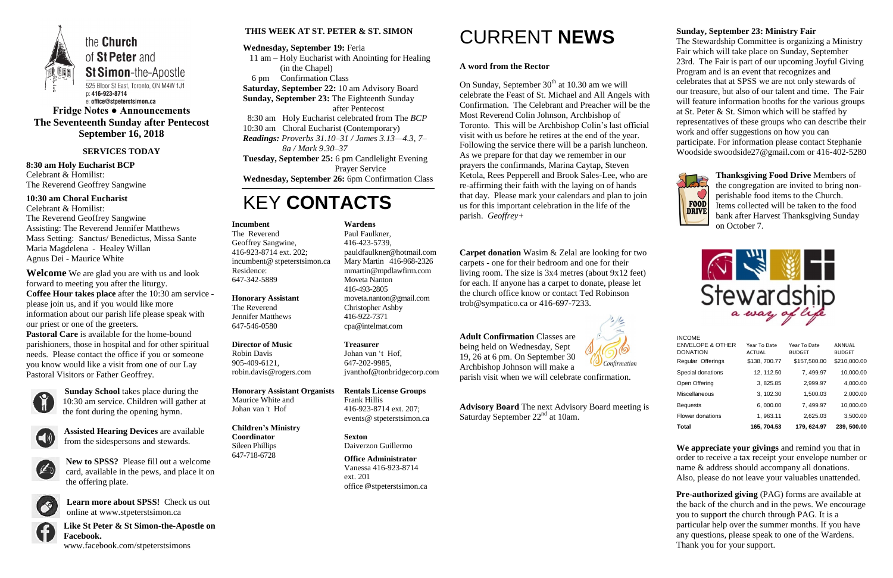

**Fridge Notes ● Announcements The Seventeenth Sunday after Pentecost September 16, 2018**

#### **SERVICES TODAY**

**8:30 am Holy Eucharist BCP** Celebrant & Homilist: The Reverend Geoffrey Sangwine

**10:30 am Choral Eucharist** Celebrant & Homilist:

The Reverend Geoffrey Sangwine Assisting: The Reverend Jennifer Matthews Mass Setting: Sanctus/ Benedictus, Missa Sante Maria Magdelena - Healey Willan Agnus Dei - Maurice White

**Welcome** We are glad you are with us and look forward to meeting you after the liturgy. **Coffee Hour takes place** after the 10:30 am service please join us, and if you would like more information about our parish life please speak with our priest or one of the greeters. **Pastoral Care** is available for the home-bound parishioners, those in hospital and for other spiritual needs. Please contact the office if you or someone you know would like a visit from one of our Lay

Pastoral Visitors or Father Geoffrey.



**Sunday School** takes place during the 10:30 am service. Children will gather at the font during the opening hymn.



**Assisted Hearing Devices** are available from the sidespersons and stewards.



**New to SPSS?** Please fill out a welcome card, available in the pews, and place it on the offering plate.



**Learn more about SPSS!** Check us out online at www.stpeterstsimon.ca

On Sunday, September  $30<sup>th</sup>$  at 10.30 am we will celebrate the Feast of St. Michael and All Angels with Confirmation. The Celebrant and Preacher will be the Most Reverend Colin Johnson, Archbishop of Toronto. This will be Archbishop Colin's last official visit with us before he retires at the end of the year. Following the service there will be a parish luncheon. As we prepare for that day we remember in our prayers the confirmands, Marina Caytap, Steven Ketola, Rees Pepperell and Brook Sales-Lee, who are re-affirming their faith with the laying on of hands that day. Please mark your calendars and plan to join us for this important celebration in the life of the parish. *Geoffrey+*

**Like St Peter & St Simon-the-Apostle on Facebook.**  www.facebook.com/stpeterstsimons

**THIS WEEK AT ST. PETER & ST. SIMON**

#### **Wednesday, September 19:** Feria

 11 am – Holy Eucharist with Anointing for Healing (in the Chapel) 6 pm Confirmation Class

**Saturday, September 22:** 10 am Advisory Board

**Advisory Board** The next Advisory Board meeting is Saturday September  $22<sup>nd</sup>$  at 10am.

**Sunday, September 23:** The Eighteenth Sunday

after Pentecost

 8:30 am Holy Eucharist celebrated from The *BCP* 10:30 am Choral Eucharist (Contemporary)

*Readings: Proverbs 31.10–31 / James 3.13—4.3, 7– 8a / Mark 9.30–37*

**Tuesday, September 25:** 6 pm Candlelight Evening Prayer Service

**Wednesday, September 26:** 6pm Confirmation Class

### KEY **CONTACTS**

### CURRENT **NEWS**

#### **A word from the Rector**

**Pre-authorized giving** (PAG) forms are available at the back of the church and in the pews. We encourage you to support the church through PAG. It is a particular help over the summer months. If you have any questions, please speak to one of the Wardens. Thank you for your support.

**Carpet donation** Wasim & Zelal are looking for two carpets - one for their bedroom and one for their living room. The size is 3x4 metres (about 9x12 feet) for each. If anyone has a carpet to donate, please let the church office know or contact Ted Robinson trob@sympatico.ca or 416-697-7233.

**Adult Confirmation** Classes are being held on Wednesday, Sept 19, 26 at 6 pm. On September 30 Archbishop Johnson will make a



parish visit when we will celebrate confirmation.

#### **Sunday, September 23: Ministry Fair**

The Stewardship Committee is organizing a Ministry Fair which will take place on Sunday, September 23rd. The Fair is part of our upcoming Joyful Giving Program and is an event that recognizes and celebrates that at SPSS we are not only stewards of our treasure, but also of our talent and time. The Fair will feature information booths for the various groups at St. Peter & St. Simon which will be staffed by representatives of these groups who can describe their work and offer suggestions on how you can participate. For information please contact Stephanie Woodside swoodside27@gmail.com or 416-402-5280



**Thanksgiving Food Drive** Members of the congregation are invited to bring nonperishable food items to the Church. Items collected will be taken to the food bank after Harvest Thanksgiving Sunday on October 7.



**We appreciate your givings** and remind you that in order to receive a tax receipt your envelope number or name & address should accompany all donations. Also, please do not leave your valuables unattended.

#### **Incumbent**

The Reverend Geoffrey Sangwine, 416-923-8714 ext. 202; incumbent@ stpeterstsimon.ca Residence: 647-342-5889

#### **Honorary Assistant**

The Reverend Jennifer Matthews 647-546-0580

#### **Director of Music**

Robin Davis 905-409-6121, robin.davis@rogers.com

#### **Honorary Assistant Organists**

Maurice White and Johan van 't Hof

#### **Children's Ministry Coordinator**

Sileen Phillips 647-718-6728

#### **Wardens**

Paul Faulkner, 416-423-5739, [pauldfaulkner@hotmail.com](mailto:pauldfaulkner@hotmail.com)  Mary Martin 416-968-2326 mmartin@mpdlawfirm.com Moveta Nanton 416-493-2805 moveta.nanton@gmail.com Christopher Ashby 416-922-7371 cpa@intelmat.com

**Treasurer**  Johan van 't Hof, 647-202-9985, jvanthof@tonbridgecorp.com

**Rentals License Groups** Frank Hillis 416-923-8714 ext. 207; events@ stpeterstsimon.ca

**Sexton** Daiverzon Guillermo

**Office Administrator** Vanessa 416-923-8714 ext. 201 office @stpeterstsimon.ca

| <b>INCOME</b>               |               |               |               |
|-----------------------------|---------------|---------------|---------------|
| <b>ENVELOPE &amp; OTHER</b> | Year To Date  | Year To Date  | ANNUAL        |
| <b>DONATION</b>             | <b>ACTUAL</b> | <b>BUDGET</b> | <b>BUDGET</b> |
| Regular Offerings           | \$138, 700.77 | \$157,500.00  | \$210,000.00  |
| Special donations           | 12, 112.50    | 7, 499.97     | 10,000.00     |
| Open Offering               | 3, 825.85     | 2,999.97      | 4,000.00      |
| Miscellaneous               | 3, 102.30     | 1.500.03      | 2,000.00      |
| <b>Bequests</b>             | 6.000.00      | 7, 499.97     | 10,000.00     |
| Flower donations            | 1, 963.11     | 2,625.03      | 3,500.00      |
| Total                       | 165, 704.53   | 179.624.97    | 239, 500.00   |